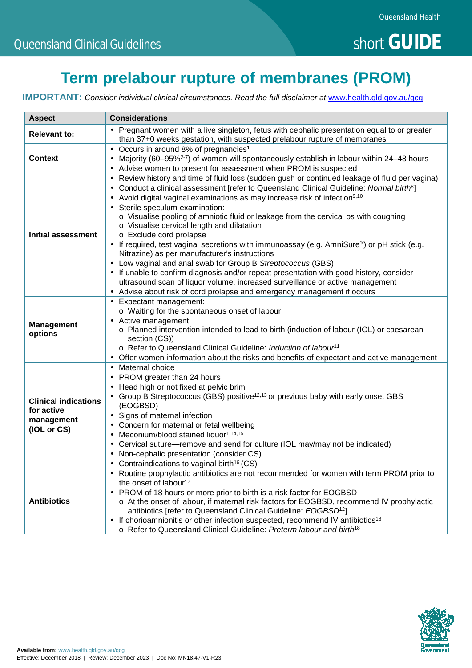# **Term prelabour rupture of membranes (PROM)**

**IMPORTANT:** Consider individual clinical circumstances. Read the full disclaimer at [www.health.qld.gov.au/qcg](http://www.health.qld.gov.au/qcg)

| <b>Aspect</b>                                                          | <b>Considerations</b>                                                                                                                                                                                                                                                                                                                                                                                                                                                                                                                                                                                                                                                                                                                                                                                                                                                                                                                                                                                          |
|------------------------------------------------------------------------|----------------------------------------------------------------------------------------------------------------------------------------------------------------------------------------------------------------------------------------------------------------------------------------------------------------------------------------------------------------------------------------------------------------------------------------------------------------------------------------------------------------------------------------------------------------------------------------------------------------------------------------------------------------------------------------------------------------------------------------------------------------------------------------------------------------------------------------------------------------------------------------------------------------------------------------------------------------------------------------------------------------|
| <b>Relevant to:</b>                                                    | Pregnant women with a live singleton, fetus with cephalic presentation equal to or greater<br>than 37+0 weeks gestation, with suspected prelabour rupture of membranes                                                                                                                                                                                                                                                                                                                                                                                                                                                                                                                                                                                                                                                                                                                                                                                                                                         |
| <b>Context</b>                                                         | Occurs in around 8% of pregnancies <sup>1</sup><br>Majority (60–95% <sup>2-7</sup> ) of women will spontaneously establish in labour within 24–48 hours<br>Advise women to present for assessment when PROM is suspected                                                                                                                                                                                                                                                                                                                                                                                                                                                                                                                                                                                                                                                                                                                                                                                       |
| <b>Initial assessment</b>                                              | Review history and time of fluid loss (sudden gush or continued leakage of fluid per vagina)<br>$\blacksquare$<br>Conduct a clinical assessment [refer to Queensland Clinical Guideline: Normal birth <sup>8</sup> ]<br>$\blacksquare$<br>Avoid digital vaginal examinations as may increase risk of infection <sup>9,10</sup><br>Sterile speculum examination:<br>o Visualise pooling of amniotic fluid or leakage from the cervical os with coughing<br>o Visualise cervical length and dilatation<br>o Exclude cord prolapse<br>If required, test vaginal secretions with immunoassay (e.g. AmniSure®) or pH stick (e.g.<br>Nitrazine) as per manufacturer's instructions<br>Low vaginal and anal swab for Group B Streptococcus (GBS)<br>$\blacksquare$<br>If unable to confirm diagnosis and/or repeat presentation with good history, consider<br>ultrasound scan of liquor volume, increased surveillance or active management<br>Advise about risk of cord prolapse and emergency management if occurs |
| <b>Management</b><br>options                                           | Expectant management:<br>$\blacksquare$<br>o Waiting for the spontaneous onset of labour<br>Active management<br>o Planned intervention intended to lead to birth (induction of labour (IOL) or caesarean<br>section (CS))<br>o Refer to Queensland Clinical Guideline: Induction of labour <sup>11</sup><br>Offer women information about the risks and benefits of expectant and active management                                                                                                                                                                                                                                                                                                                                                                                                                                                                                                                                                                                                           |
| <b>Clinical indications</b><br>for active<br>management<br>(IOL or CS) | Maternal choice<br>$\blacksquare$<br>PROM greater than 24 hours<br>$\bullet$<br>Head high or not fixed at pelvic brim<br>Group B Streptococcus (GBS) positive <sup>12,13</sup> or previous baby with early onset GBS<br>(EOGBSD)<br>Signs of maternal infection<br>$\bullet$<br>Concern for maternal or fetal wellbeing<br>$\blacksquare$<br>Meconium/blood stained liquor <sup>1,14,15</sup><br>$\blacksquare$<br>Cervical suture-remove and send for culture (IOL may/may not be indicated)<br>Non-cephalic presentation (consider CS)<br>Contraindications to vaginal birth <sup>16</sup> (CS)                                                                                                                                                                                                                                                                                                                                                                                                              |
| <b>Antibiotics</b>                                                     | Routine prophylactic antibiotics are not recommended for women with term PROM prior to<br>the onset of labour <sup>17</sup><br>PROM of 18 hours or more prior to birth is a risk factor for EOGBSD<br>o At the onset of labour, if maternal risk factors for EOGBSD, recommend IV prophylactic<br>antibiotics [refer to Queensland Clinical Guideline: EOGBSD <sup>12</sup> ]<br>If chorioamnionitis or other infection suspected, recommend IV antibiotics <sup>18</sup><br>o Refer to Queensland Clinical Guideline: Preterm labour and birth <sup>18</sup>                                                                                                                                                                                                                                                                                                                                                                                                                                                  |

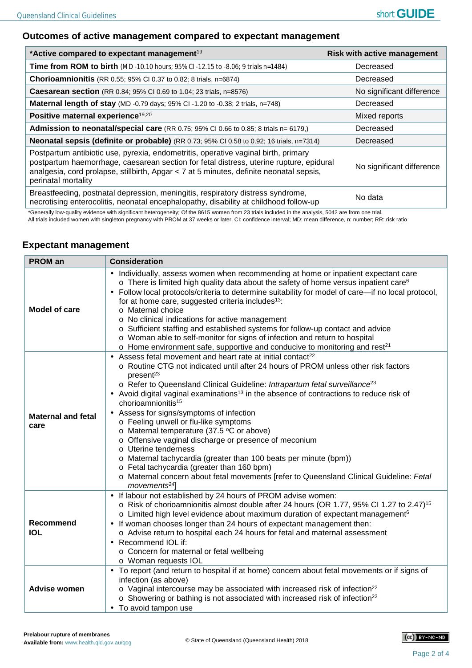### **Outcomes of active management compared to expectant management**

| *Active compared to expectant management <sup>19</sup>                                                                                                                                                                                                                                          | <b>Risk with active management</b> |
|-------------------------------------------------------------------------------------------------------------------------------------------------------------------------------------------------------------------------------------------------------------------------------------------------|------------------------------------|
| <b>Time from ROM to birth</b> (MD -10.10 hours; 95% CI -12.15 to -8.06; 9 trials n=1484)                                                                                                                                                                                                        | Decreased                          |
| Chorioamnionitis (RR 0.55; 95% CI 0.37 to 0.82; 8 trials, n=6874)                                                                                                                                                                                                                               | Decreased                          |
| <b>Caesarean section</b> (RR 0.84; 95% CI 0.69 to 1.04; 23 trials, n=8576)                                                                                                                                                                                                                      | No significant difference          |
| Maternal length of stay (MD -0.79 days; 95% CI -1.20 to -0.38; 2 trials, n=748)                                                                                                                                                                                                                 | Decreased                          |
| Positive maternal experience <sup>19,20</sup>                                                                                                                                                                                                                                                   | Mixed reports                      |
| Admission to neonatal/special care (RR 0.75; 95% CI 0.66 to 0.85; 8 trials n= 6179,)                                                                                                                                                                                                            | Decreased                          |
| Neonatal sepsis (definite or probable) (RR 0.73; 95% CI 0.58 to 0.92; 16 trials, n=7314)                                                                                                                                                                                                        | Decreased                          |
| Postpartum antibiotic use, pyrexia, endometritis, operative vaginal birth, primary<br>postpartum haemorrhage, caesarean section for fetal distress, uterine rupture, epidural<br>analgesia, cord prolapse, stillbirth, Apgar < 7 at 5 minutes, definite neonatal sepsis,<br>perinatal mortality | No significant difference          |
| Breastfeeding, postnatal depression, meningitis, respiratory distress syndrome,<br>necrotising enterocolitis, neonatal encephalopathy, disability at childhood follow-up                                                                                                                        | No data                            |

\*Generally low-quality evidence with significant heterogeneity; Of the 8615 women from 23 trials included in the analysis, 5042 are from one trial.

All trials included women with singleton pregnancy with PROM at 37 weeks or later. CI: confidence interval; MD: mean difference, n: number; RR: risk ratio

### **Expectant management**

| <b>PROM</b> an                    | <b>Consideration</b>                                                                                                                                                                                                                                                                                                                                                                                                                                                                                                                                                                                                                                                                                                                                                                                                                                                           |
|-----------------------------------|--------------------------------------------------------------------------------------------------------------------------------------------------------------------------------------------------------------------------------------------------------------------------------------------------------------------------------------------------------------------------------------------------------------------------------------------------------------------------------------------------------------------------------------------------------------------------------------------------------------------------------------------------------------------------------------------------------------------------------------------------------------------------------------------------------------------------------------------------------------------------------|
| Model of care                     | Individually, assess women when recommending at home or inpatient expectant care<br>$\circ$ There is limited high quality data about the safety of home versus inpatient care <sup>6</sup><br>Follow local protocols/criteria to determine suitability for model of care—if no local protocol,<br>for at home care, suggested criteria includes <sup>13</sup> :<br>o Maternal choice<br>o No clinical indications for active management<br>o Sufficient staffing and established systems for follow-up contact and advice<br>o Woman able to self-monitor for signs of infection and return to hospital<br>$\circ$ Home environment safe, supportive and conducive to monitoring and rest <sup>21</sup>                                                                                                                                                                        |
| <b>Maternal and fetal</b><br>care | Assess fetal movement and heart rate at initial contact <sup>22</sup><br>o Routine CTG not indicated until after 24 hours of PROM unless other risk factors<br>present <sup>23</sup><br>o Refer to Queensland Clinical Guideline: Intrapartum fetal surveillance <sup>23</sup><br>Avoid digital vaginal examinations <sup>13</sup> in the absence of contractions to reduce risk of<br>chorioamnionitis <sup>15</sup><br>Assess for signs/symptoms of infection<br>o Feeling unwell or flu-like symptoms<br>o Maternal temperature (37.5 °C or above)<br>o Offensive vaginal discharge or presence of meconium<br>o Uterine tenderness<br>o Maternal tachycardia (greater than 100 beats per minute (bpm))<br>o Fetal tachycardia (greater than 160 bpm)<br>o Maternal concern about fetal movements [refer to Queensland Clinical Guideline: Fetal<br>movements <sup>24</sup> |
| <b>Recommend</b><br><b>IOL</b>    | If labour not established by 24 hours of PROM advise women:<br>$\circ$ Risk of chorioamnionitis almost double after 24 hours (OR 1.77, 95% CI 1.27 to 2.47) <sup>15</sup><br>o Limited high level evidence about maximum duration of expectant management <sup>6</sup><br>If woman chooses longer than 24 hours of expectant management then:<br>o Advise return to hospital each 24 hours for fetal and maternal assessment<br>Recommend IOL if:<br>o Concern for maternal or fetal wellbeing<br>o Woman requests IOL                                                                                                                                                                                                                                                                                                                                                         |
| <b>Advise women</b>               | To report (and return to hospital if at home) concern about fetal movements or if signs of<br>infection (as above)<br>o Vaginal intercourse may be associated with increased risk of infection <sup>22</sup><br>o Showering or bathing is not associated with increased risk of infection <sup>22</sup><br>To avoid tampon use                                                                                                                                                                                                                                                                                                                                                                                                                                                                                                                                                 |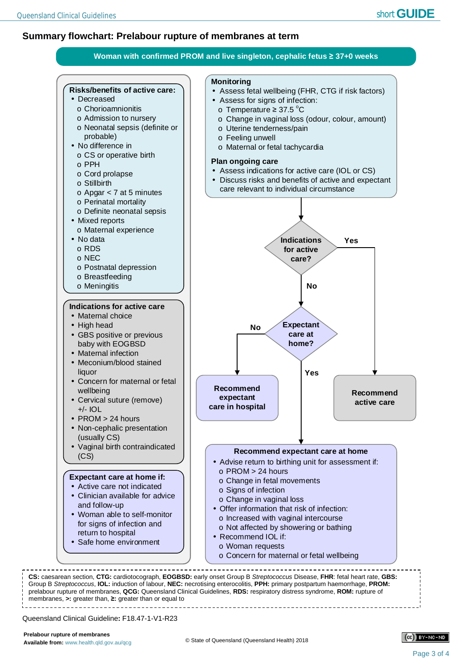## **Summary flowchart: Prelabour rupture of membranes at term**



Queensland Clinical Guideline**:** F18.47-1-V1-R23

membranes, **>:** greater than, **≥:** greater than or equal to

prelabour rupture of membranes, **QCG:** Queensland Clinical Guidelines, **RDS:** respiratory distress syndrome, **ROM:** rupture of